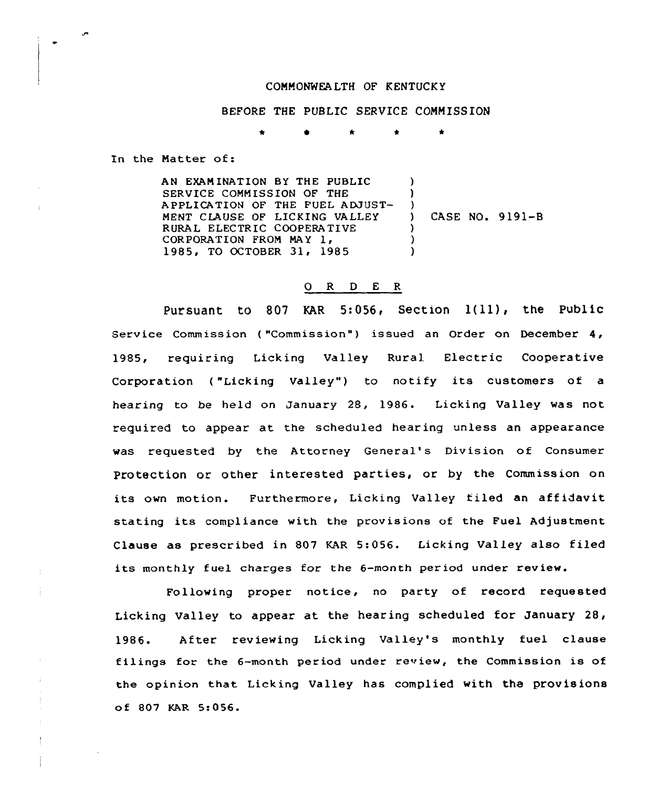## COMMONWEA LTH OF KENTUCK Y

BEFORE THE PUBLIC SERVICE CONN ISSION

<sup>k</sup> \* \*

In the Matter of:

AN EXAMINATION BY THE PUBLIC SERVICE COMMISSION OF THE APPLICATION OF THE FUEL ADJUST-MENT CLAUSE OF LICKING VALLEY RURAL ELECTRIC COOPERATIVE CORPORATION FROM MAY 1, 1985, TO OCTOBER 31, 1985  $\mathcal{L}$ )  $\left\{ \begin{array}{c} 1 \end{array} \right\}$ ) CASE NO. 9191-B  $\lambda$ )  $\lambda$ 

## 0 R <sup>D</sup> <sup>E</sup> R

Pursuant to 807 KAR 5:056, Section  $1(11)$ , the Public Service Commission ("Commission") issued an Order on December 4, 1985, requiring Licking Valley Rural Electric Cooperative Corporation ("Licking Valley") to notify its customers of a hearing to be held on January 28, 1986. Licking Valley was not required to appear at the scheduled hearing unless an appearance was requested by the Attorney General's Division of Consumer Protection or other interested parties, or by the Commission on its own motion. Furthermore, Licking Valley filed an affidavit stating its compliance with the provisions of the Fuel Adjustment Clause as prescribed in 807 KAR 5:056. Licking Valley also filed its monthly fuel charges for the 6-month period under review.

Following proper notice, no party of record requested Licking Valley to appear at the hearing scheduled for January 28, 1986. After reviewing Licking Valley's monthly fuel clause filings for the 6-month period under review, the Commission is of the opinion that Licking Valley has complied with the provisions of 807 KAR 5:056.